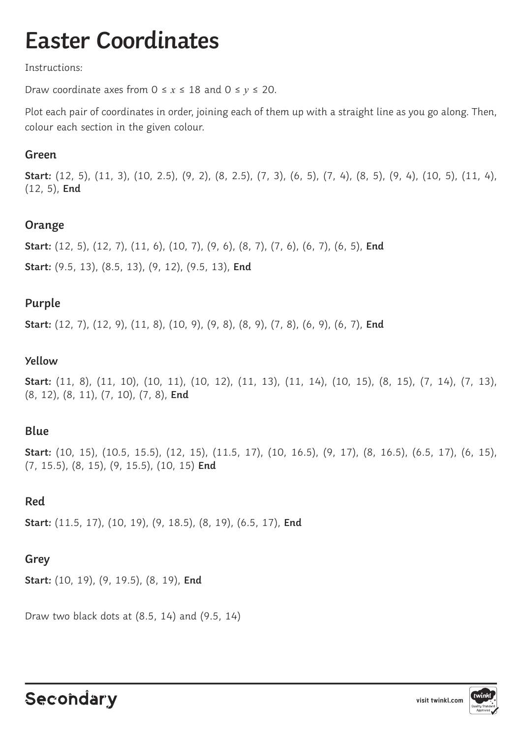## **Easter Coordinates**

#### Instructions:

Draw coordinate axes from  $0 \le x \le 18$  and  $0 \le y \le 20$ .

Plot each pair of coordinates in order, joining each of them up with a straight line as you go along. Then, colour each section in the given colour.

#### **Green**

**Start:** (12, 5), (11, 3), (10, 2.5), (9, 2), (8, 2.5), (7, 3), (6, 5), (7, 4), (8, 5), (9, 4), (10, 5), (11, 4), (12, 5), **End**

#### **Orange**

**Start:** (12, 5), (12, 7), (11, 6), (10, 7), (9, 6), (8, 7), (7, 6), (6, 7), (6, 5), **End Start:** (9.5, 13), (8.5, 13), (9, 12), (9.5, 13), **End**

### **Purple**

**Start:** (12, 7), (12, 9), (11, 8), (10, 9), (9, 8), (8, 9), (7, 8), (6, 9), (6, 7), **End**

#### **Yellow**

**Start:** (11, 8), (11, 10), (10, 11), (10, 12), (11, 13), (11, 14), (10, 15), (8, 15), (7, 14), (7, 13), (8, 12), (8, 11), (7, 10), (7, 8), **End**

#### **Blue**

**Start:** (10, 15), (10.5, 15.5), (12, 15), (11.5, 17), (10, 16.5), (9, 17), (8, 16.5), (6.5, 17), (6, 15), (7, 15.5), (8, 15), (9, 15.5), (10, 15) **End**

#### **Red**

**Start:** (11.5, 17), (10, 19), (9, 18.5), (8, 19), (6.5, 17), **End**

#### **Grey**

**Start:** (10, 19), (9, 19.5), (8, 19), **End**

Draw two black dots at (8.5, 14) and (9.5, 14)